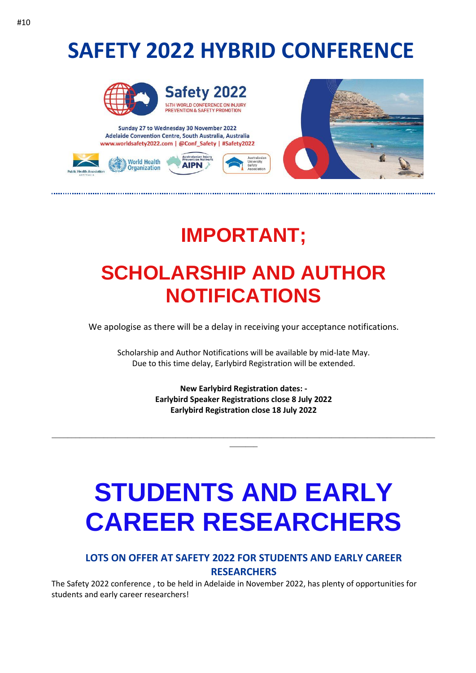### **SAFETY 2022 HYBRID CONFERENCE**



Safety 2022 14TH WORLD CONFERENCE ON INJURY<br>PREVENTION & SAFETY PROMOTION

Sunday 27 to Wednesday 30 November 2022 Adelaide Convention Centre, South Australia, Australia www.worldsafety2022.com | @Conf\_Safety | #Safety2022





#### **IMPORTANT;**

### **SCHOLARSHIP AND AUTHOR NOTIFICATIONS**

We apologise as there will be a delay in receiving your acceptance notifications.

Scholarship and Author Notifications will be available by mid-late May. Due to this time delay, Earlybird Registration will be extended.

> **New Earlybird Registration dates: - Earlybird Speaker Registrations close 8 July 2022 Earlybird Registration close 18 July 2022**

\_\_\_\_\_\_\_\_\_\_\_\_\_\_\_\_\_\_\_\_\_\_\_\_\_\_\_\_\_\_\_\_\_\_\_\_\_\_\_\_\_\_\_\_\_\_\_\_\_\_\_\_\_\_\_\_\_\_\_\_\_\_\_\_\_\_\_\_\_\_\_\_\_\_\_\_\_\_\_\_\_\_\_\_\_\_\_\_\_\_\_\_\_\_\_\_  $\overline{\phantom{a}}$ 

# **STUDENTS AND EARLY CAREER RESEARCHERS**

#### **LOTS ON OFFER AT SAFETY 2022 FOR STUDENTS AND EARLY CAREER RESEARCHERS**

The Safety 2022 conference , to be held in Adelaide in November 2022, has plenty of opportunities for students and early career researchers!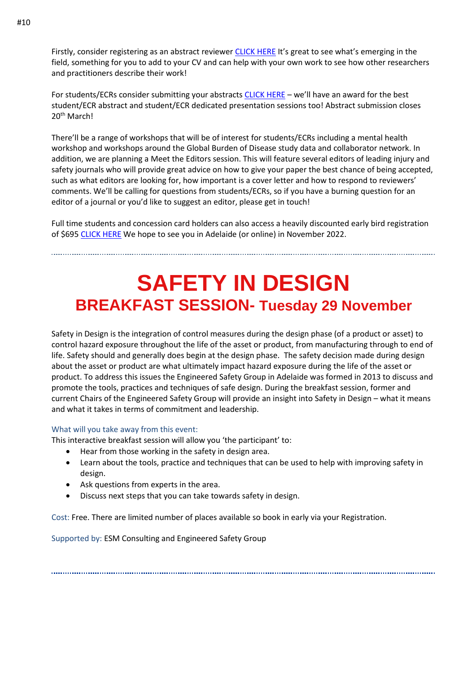Firstly, consider registering as an abstract reviewer [CLICK HERE](https://phaa.eventsair.com/safety2022/reviewers22) It's great to see what's emerging in the field, something for you to add to your CV and can help with your own work to see how other researchers and practitioners describe their work!

For students/ECRs consider submitting your abstracts [CLICK HERE](https://phaa.eventsair.com/safety2022/safety22) – we'll have an award for the best student/ECR abstract and student/ECR dedicated presentation sessions too! Abstract submission closes 20th March!

There'll be a range of workshops that will be of interest for students/ECRs including a mental health workshop and workshops around the Global Burden of Disease study data and collaborator network. In addition, we are planning a Meet the Editors session. This will feature several editors of leading injury and safety journals who will provide great advice on how to give your paper the best chance of being accepted, such as what editors are looking for, how important is a cover letter and how to respond to reviewers' comments. We'll be calling for questions from students/ECRs, so if you have a burning question for an editor of a journal or you'd like to suggest an editor, please get in touch!

Full time students and concession card holders can also access a heavily discounted early bird registration of \$695 [CLICK HERE](https://phaa.eventsair.com/safety2022/earlyrego) We hope to see you in Adelaide (or online) in November 2022.

#### **SAFETY IN DESIGN BREAKFAST SESSION- Tuesday 29 November**

Safety in Design is the integration of control measures during the design phase (of a product or asset) to control hazard exposure throughout the life of the asset or product, from manufacturing through to end of life. Safety should and generally does begin at the design phase. The safety decision made during design about the asset or product are what ultimately impact hazard exposure during the life of the asset or product. To address this issues the Engineered Safety Group in Adelaide was formed in 2013 to discuss and promote the tools, practices and techniques of safe design. During the breakfast session, former and current Chairs of the Engineered Safety Group will provide an insight into Safety in Design – what it means and what it takes in terms of commitment and leadership.

#### What will you take away from this event:

This interactive breakfast session will allow you 'the participant' to:

- Hear from those working in the safety in design area.
- Learn about the tools, practice and techniques that can be used to help with improving safety in design.
- Ask questions from experts in the area.
- Discuss next steps that you can take towards safety in design.

Cost: Free. There are limited number of places available so book in early via your Registration.

Supported by: ESM Consulting and Engineered Safety Group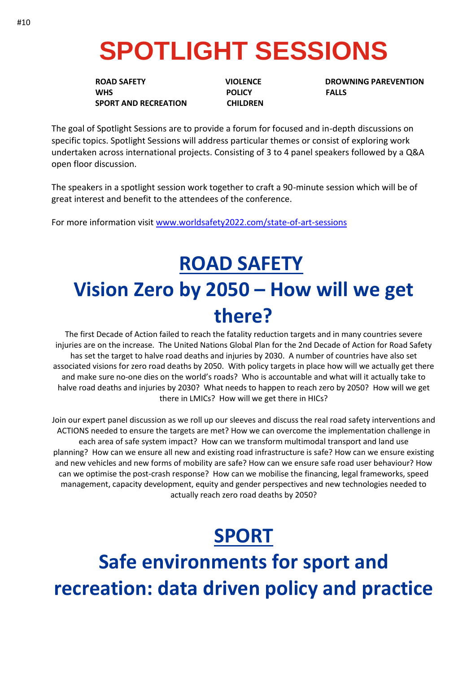# **SPOTLIGHT SESSIONS**

**WHS** POLICY FALLS  **SPORT AND RECREATION CHILDREN**

**ROAD SAFETY GETS AND SAFETY STATES AND LOCAL CONSUMING PAREVENTION** 

The goal of Spotlight Sessions are to provide a forum for focused and in-depth discussions on specific topics. Spotlight Sessions will address particular themes or consist of exploring work undertaken across international projects. Consisting of 3 to 4 panel speakers followed by a Q&A open floor discussion.

The speakers in a spotlight session work together to craft a 90-minute session which will be of great interest and benefit to the attendees of the conference.

For more information visit [www.worldsafety2022.com/state-of-art-sessions](http://www.worldsafety2022.com/state-of-art-sessions)

#### **ROAD SAFETY Vision Zero by 2050 – How will we get there?**

The first Decade of Action failed to reach the fatality reduction targets and in many countries severe injuries are on the increase. The United Nations Global Plan for the 2nd Decade of Action for Road Safety has set the target to halve road deaths and injuries by 2030. A number of countries have also set associated visions for zero road deaths by 2050. With policy targets in place how will we actually get there and make sure no-one dies on the world's roads? Who is accountable and what will it actually take to halve road deaths and injuries by 2030? What needs to happen to reach zero by 2050? How will we get there in LMICs? How will we get there in HICs?

Join our expert panel discussion as we roll up our sleeves and discuss the real road safety interventions and ACTIONS needed to ensure the targets are met? How we can overcome the implementation challenge in each area of safe system impact? How can we transform multimodal transport and land use planning? How can we ensure all new and existing road infrastructure is safe? How can we ensure existing and new vehicles and new forms of mobility are safe? How can we ensure safe road user behaviour? How can we optimise the post-crash response? How can we mobilise the financing, legal frameworks, speed management, capacity development, equity and gender perspectives and new technologies needed to actually reach zero road deaths by 2050?

#### **SPORT**

**Safe environments for sport and recreation: data driven policy and practice**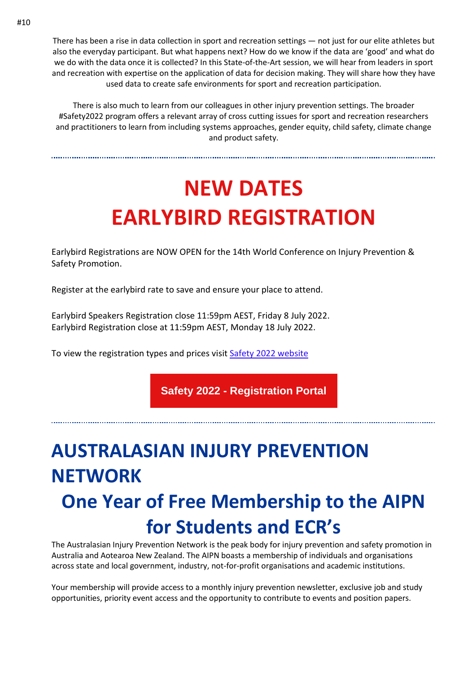There has been a rise in data collection in sport and recreation settings — not just for our elite athletes but also the everyday participant. But what happens next? How do we know if the data are 'good' and what do we do with the data once it is collected? In this State-of-the-Art session, we will hear from leaders in sport and recreation with expertise on the application of data for decision making. They will share how they have used data to create safe environments for sport and recreation participation.

There is also much to learn from our colleagues in other injury prevention settings. The broader #Safety2022 program offers a relevant array of cross cutting issues for sport and recreation researchers and practitioners to learn from including systems approaches, gender equity, child safety, climate change and product safety.

## **NEW DATES EARLYBIRD REGISTRATION**

Earlybird Registrations are NOW OPEN for the 14th World Conference on Injury Prevention & Safety Promotion.

Register at the earlybird rate to save and ensure your place to attend.

Earlybird Speakers Registration close 11:59pm AEST, Friday 8 July 2022. Earlybird Registration close at 11:59pm AEST, Monday 18 July 2022.

To view the registration types and prices visit [Safety 2022 website](https://aus01.safelinks.protection.outlook.com/?url=https%3A%2F%2Fwww.worldsafety2022.com%2Fregistration&data=04%7C01%7Crichard.franklin%40jcu.edu.au%7C3ef70b6a0f2c41591bbd08da016e3e54%7C30a8c4e81ecd4f148099f73482a7adc0%7C0%7C0%7C637823871031878004%7CUnknown%7CTWFpbGZsb3d8eyJWIjoiMC4wLjAwMDAiLCJQIjoiV2luMzIiLCJBTiI6Ik1haWwiLCJXVCI6Mn0%3D%7C2000&sdata=sMtGFcyd8agslIXR1Jd0ruEcnPncKaS9owSqq%2F3d%2BNY%3D&reserved=0)

**Safety 2022 - [Registration](https://aus01.safelinks.protection.outlook.com/?url=https%3A%2F%2Fphaa.eventsair.com%2Fsafety2022%2Fearlyrego&data=04%7C01%7Crichard.franklin%40jcu.edu.au%7C3ef70b6a0f2c41591bbd08da016e3e54%7C30a8c4e81ecd4f148099f73482a7adc0%7C0%7C0%7C637823871031878004%7CUnknown%7CTWFpbGZsb3d8eyJWIjoiMC4wLjAwMDAiLCJQIjoiV2luMzIiLCJBTiI6Ik1haWwiLCJXVCI6Mn0%3D%7C2000&sdata=FthpipK3H0FgGXD8ZlriMYZNYy8ZerQIuYjsF4Yehu0%3D&reserved=0) Portal**

#### **AUSTRALASIAN INJURY PREVENTION NETWORK One Year of Free Membership to the AIPN for Students and ECR's**

The Australasian Injury Prevention Network is the peak body for injury prevention and safety promotion in Australia and Aotearoa New Zealand. The AIPN boasts a membership of individuals and organisations across state and local government, industry, not-for-profit organisations and academic institutions.

Your membership will provide access to a monthly injury prevention newsletter, exclusive job and study opportunities, priority event access and the opportunity to contribute to events and position papers.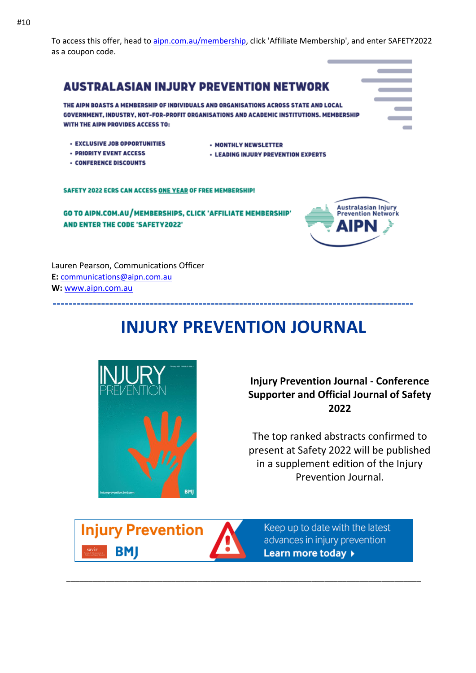To access this offer, head to [aipn.com.au/membership,](http://aipn.com.au/membership) click 'Affiliate Membership', and enter SAFETY2022 as a coupon code.



Lauren Pearson, Communications Officer **E:** [communications@aipn.com.au](mailto:communications@aipn.com.au) **W:** [www.aipn.com.au](http://www.aipn.com.au/)

#### **INJURY PREVENTION JOURNAL**



**Injury Prevention Journal - Conference Supporter and Official Journal of Safety 2022** 

The top ranked abstracts confirmed to present at Safety 2022 will be published in a supplement edition of the Injury Prevention Journal.





\_\_\_\_\_\_\_\_\_\_\_\_\_\_\_\_\_\_\_\_\_\_\_\_\_\_\_\_\_\_\_\_\_\_\_\_\_\_\_\_\_\_\_\_\_\_\_\_\_\_\_\_\_\_\_\_\_\_\_\_\_\_\_\_\_\_\_\_\_\_\_\_\_\_\_\_\_\_\_\_\_

Keep up to date with the latest advances in injury prevention Learn more today >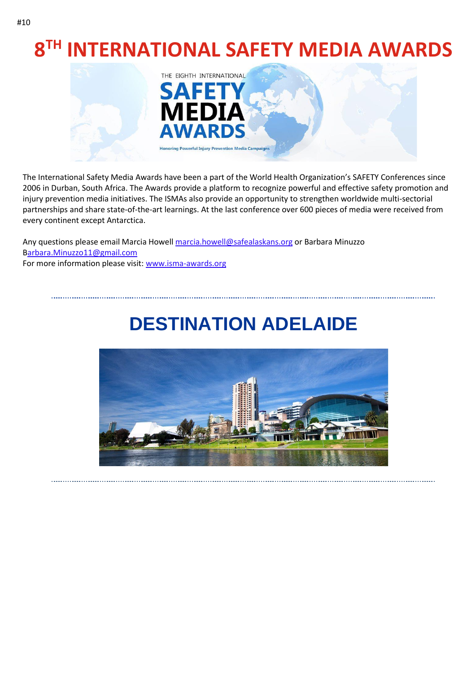## **8 TH INTERNATIONAL SAFETY MEDIA AWARDS**



The International Safety Media Awards have been a part of the World Health Organization's SAFETY Conferences since 2006 in Durban, South Africa. The Awards provide a platform to recognize powerful and effective safety promotion and injury prevention media initiatives. The ISMAs also provide an opportunity to strengthen worldwide multi-sectorial partnerships and share state-of-the-art learnings. At the last conference over 600 pieces of media were received from every continent except Antarctica.

Any questions please email Marcia Howell [marcia.howell@safealaskans.org](mailto:marcia.howell@safealaskans.org) or Barbara Minuzzo [Barbara.Minuzzo11@gmail.com](mailto:barbara.minuzzo11@gmail.com) For more information please visit: [www.isma-awards.org](https://aus01.safelinks.protection.outlook.com/?url=http%3A%2F%2Fisma-awards.org%2F&data=04%7C01%7Crichard.franklin%40jcu.edu.au%7C3ef70b6a0f2c41591bbd08da016e3e54%7C30a8c4e81ecd4f148099f73482a7adc0%7C0%7C0%7C637823871031878004%7CUnknown%7CTWFpbGZsb3d8eyJWIjoiMC4wLjAwMDAiLCJQIjoiV2luMzIiLCJBTiI6Ik1haWwiLCJXVCI6Mn0%3D%7C2000&sdata=nfq7Ix2Coof4WkH1zUyv%2Fj5f6njbgx%2FoaF4yU36h2Tg%3D&reserved=0)

#### **DESTINATION ADELAIDE**

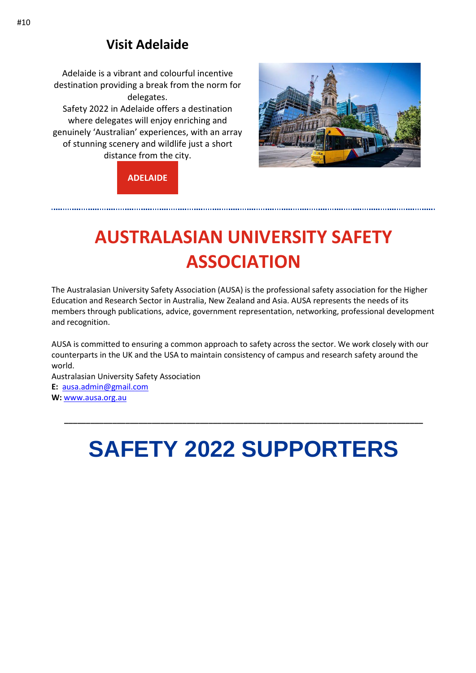#### **Visit Adelaide**

Adelaide is a vibrant and colourful incentive destination providing a break from the norm for delegates.

Safety 2022 in Adelaide offers a destination where delegates will enjoy enriching and genuinely 'Australian' experiences, with an array of stunning scenery and wildlife just a short distance from the city.



**[ADELAIDE](https://aus01.safelinks.protection.outlook.com/?url=https%3A%2F%2Fsouthaustralia.com%2Fdestinations%2Fadelaide&data=04%7C01%7Crichard.franklin%40jcu.edu.au%7C3ef70b6a0f2c41591bbd08da016e3e54%7C30a8c4e81ecd4f148099f73482a7adc0%7C0%7C0%7C637823871032034230%7CUnknown%7CTWFpbGZsb3d8eyJWIjoiMC4wLjAwMDAiLCJQIjoiV2luMzIiLCJBTiI6Ik1haWwiLCJXVCI6Mn0%3D%7C2000&sdata=Wq2q77HHuD0zhJL54N5RgctYmLYNyoiF2n16hMyEo1Y%3D&reserved=0)**

#### **AUSTRALASIAN UNIVERSITY SAFETY ASSOCIATION**

The Australasian University Safety Association (AUSA) is the professional safety association for the Higher Education and Research Sector in Australia, New Zealand and Asia. AUSA represents the needs of its members through publications, advice, government representation, networking, professional development and recognition.

AUSA is committed to ensuring a common approach to safety across the sector. We work closely with our counterparts in the UK and the USA to maintain consistency of campus and research safety around the world.

Australasian University Safety Association **E:** [ausa.admin@gmail.com](mailto:ausa.admin@gmail.com) **W:** [www.ausa.org.au](http://www.ausa.org.au/)

## **SAFETY 2022 SUPPORTERS**

**\_\_\_\_\_\_\_\_\_\_\_\_\_\_\_\_\_\_\_\_\_\_\_\_\_\_\_\_\_\_\_\_\_\_\_\_\_\_\_\_\_\_\_\_\_\_\_\_\_\_\_\_\_\_\_\_\_\_\_\_\_\_\_\_\_\_\_\_\_\_\_\_\_\_\_\_\_\_\_\_\_\_**